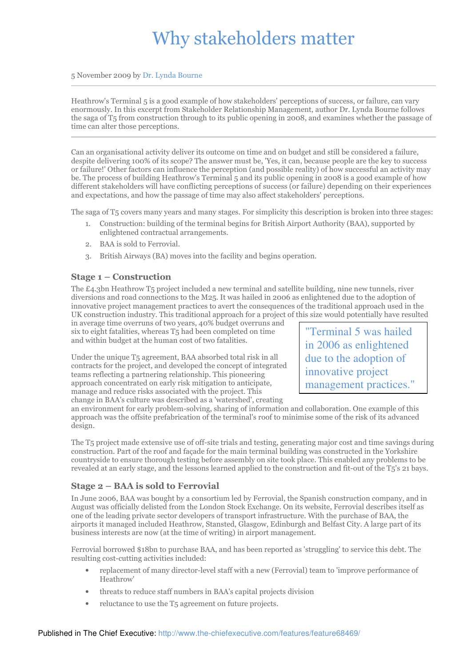# Why stakeholders matter

5 November 2009 by Dr. Lynda Bourne

Heathrow's Terminal 5 is a good example of how stakeholders' perceptions of success, or failure, can vary enormously. In this excerpt from Stakeholder Relationship Management, author Dr. Lynda Bourne follows the saga of T5 from construction through to its public opening in 2008, and examines whether the passage of time can alter those perceptions.

Can an organisational activity deliver its outcome on time and on budget and still be considered a failure, despite delivering 100% of its scope? The answer must be, 'Yes, it can, because people are the key to success or failure!' Other factors can influence the perception (and possible reality) of how successful an activity may be. The process of building Heathrow's Terminal 5 and its public opening in 2008 is a good example of how different stakeholders will have conflicting perceptions of success (or failure) depending on their experiences and expectations, and how the passage of time may also affect stakeholders' perceptions.

The saga of T5 covers many years and many stages. For simplicity this description is broken into three stages:

- 1. Construction: building of the terminal begins for British Airport Authority (BAA), supported by enlightened contractual arrangements.
- 2. BAA is sold to Ferrovial.
- 3. British Airways (BA) moves into the facility and begins operation.

### Stage 1 – Construction

The £4.3bn Heathrow T5 project included a new terminal and satellite building, nine new tunnels, river diversions and road connections to the M25. It was hailed in 2006 as enlightened due to the adoption of innovative project management practices to avert the consequences of the traditional approach used in the UK construction industry. This traditional approach for a project of this size would potentially have resulted

in average time overruns of two years, 40% budget overruns and six to eight fatalities, whereas  $T_5$  had been completed on time and within budget at the human cost of two fatalities.

Under the unique T5 agreement, BAA absorbed total risk in all contracts for the project, and developed the concept of integrated teams reflecting a partnering relationship. This pioneering approach concentrated on early risk mitigation to anticipate, manage and reduce risks associated with the project. This change in BAA's culture was described as a 'watershed', creating

"Terminal 5 was hailed in 2006 as enlightened due to the adoption of innovative project management practices."

an environment for early problem-solving, sharing of information and collaboration. One example of this approach was the offsite prefabrication of the terminal's roof to minimise some of the risk of its advanced design.

The T5 project made extensive use of off-site trials and testing, generating major cost and time savings during construction. Part of the roof and façade for the main terminal building was constructed in the Yorkshire countryside to ensure thorough testing before assembly on site took place. This enabled any problems to be revealed at an early stage, and the lessons learned applied to the construction and fit-out of the T5's 21 bays.

#### Stage 2 – BAA is sold to Ferrovial

In June 2006, BAA was bought by a consortium led by Ferrovial, the Spanish construction company, and in August was officially delisted from the London Stock Exchange. On its website, Ferrovial describes itself as one of the leading private sector developers of transport infrastructure. With the purchase of BAA, the airports it managed included Heathrow, Stansted, Glasgow, Edinburgh and Belfast City. A large part of its business interests are now (at the time of writing) in airport management.

Ferrovial borrowed \$18bn to purchase BAA, and has been reported as 'struggling' to service this debt. The resulting cost-cutting activities included:

- replacement of many director-level staff with a new (Ferrovial) team to 'improve performance of Heathrow'
- threats to reduce staff numbers in BAA's capital projects division
- reluctance to use the T<sub>5</sub> agreement on future projects.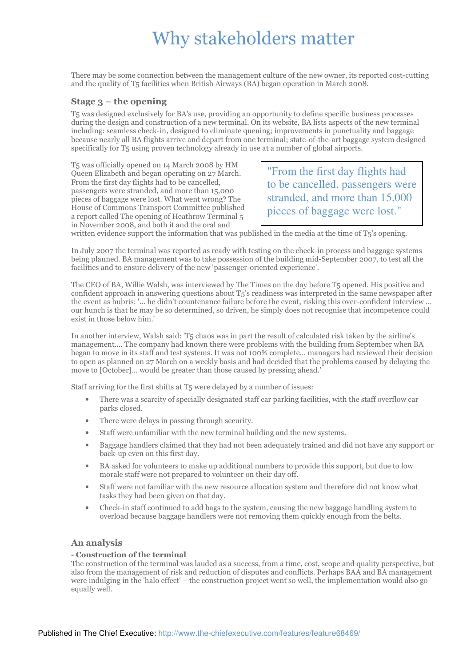### Why stakeholders matter

There may be some connection between the management culture of the new owner, its reported cost-cutting and the quality of T5 facilities when British Airways (BA) began operation in March 2008.

#### Stage  $3$  – the opening

T5 was designed exclusively for BA's use, providing an opportunity to define specific business processes during the design and construction of a new terminal. On its website, BA lists aspects of the new terminal including: seamless check-in, designed to eliminate queuing; improvements in punctuality and baggage because nearly all BA flights arrive and depart from one terminal; state-of-the-art baggage system designed specifically for T5 using proven technology already in use at a number of global airports.

T5 was officially opened on 14 March 2008 by HM Queen Elizabeth and began operating on 27 March. From the first day flights had to be cancelled, passengers were stranded, and more than 15,000 pieces of baggage were lost. What went wrong? The House of Commons Transport Committee published a report called The opening of Heathrow Terminal 5 in November 2008, and both it and the oral and

"From the first day flights had to be cancelled, passengers were stranded, and more than 15,000 pieces of baggage were lost."

written evidence support the information that was published in the media at the time of T5's opening.

In July 2007 the terminal was reported as ready with testing on the check-in process and baggage systems being planned. BA management was to take possession of the building mid-September 2007, to test all the facilities and to ensure delivery of the new 'passenger-oriented experience'.

The CEO of BA, Willie Walsh, was interviewed by The Times on the day before T5 opened. His positive and confident approach in answering questions about T5's readiness was interpreted in the same newspaper after the event as hubris: '… he didn't countenance failure before the event, risking this over-confident interview … our hunch is that he may be so determined, so driven, he simply does not recognise that incompetence could exist in those below him.'

In another interview, Walsh said: 'T5 chaos was in part the result of calculated risk taken by the airline's management…. The company had known there were problems with the building from September when BA began to move in its staff and test systems. It was not 100% complete… managers had reviewed their decision to open as planned on 27 March on a weekly basis and had decided that the problems caused by delaying the move to [October]… would be greater than those caused by pressing ahead.'

Staff arriving for the first shifts at T5 were delayed by a number of issues:

- There was a scarcity of specially designated staff car parking facilities, with the staff overflow car parks closed.
- There were delays in passing through security.
- Staff were unfamiliar with the new terminal building and the new systems.
- Baggage handlers claimed that they had not been adequately trained and did not have any support or back-up even on this first day.
- BA asked for volunteers to make up additional numbers to provide this support, but due to low morale staff were not prepared to volunteer on their day off.
- Staff were not familiar with the new resource allocation system and therefore did not know what tasks they had been given on that day.
- Check-in staff continued to add bags to the system, causing the new baggage handling system to overload because baggage handlers were not removing them quickly enough from the belts.

#### An analysis

#### - Construction of the terminal

The construction of the terminal was lauded as a success, from a time, cost, scope and quality perspective, but also from the management of risk and reduction of disputes and conflicts. Perhaps BAA and BA management were indulging in the 'halo effect' – the construction project went so well, the implementation would also go equally well.